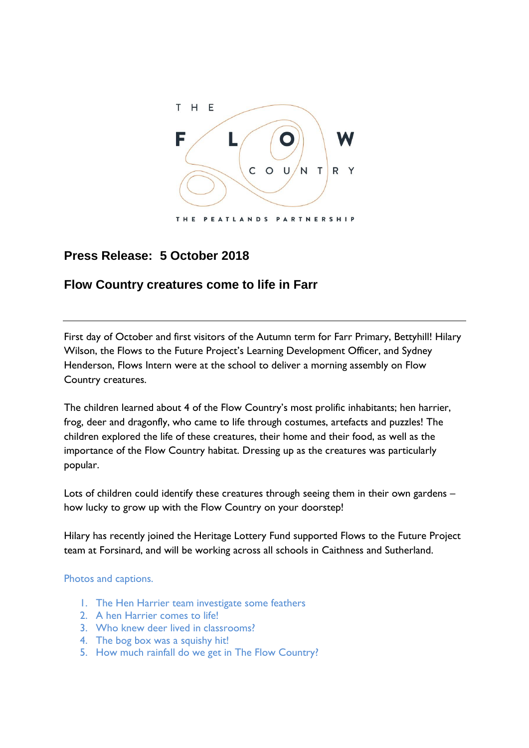

# **Press Release: 5 October 2018**

## **Flow Country creatures come to life in Farr**

First day of October and first visitors of the Autumn term for Farr Primary, Bettyhill! Hilary Wilson, the Flows to the Future Project's Learning Development Officer, and Sydney Henderson, Flows Intern were at the school to deliver a morning assembly on Flow Country creatures.

The children learned about 4 of the Flow Country's most prolific inhabitants; hen harrier, frog, deer and dragonfly, who came to life through costumes, artefacts and puzzles! The children explored the life of these creatures, their home and their food, as well as the importance of the Flow Country habitat. Dressing up as the creatures was particularly popular.

Lots of children could identify these creatures through seeing them in their own gardens – how lucky to grow up with the Flow Country on your doorstep!

Hilary has recently joined the Heritage Lottery Fund supported Flows to the Future Project team at Forsinard, and will be working across all schools in Caithness and Sutherland.

#### Photos and captions.

- 1. The Hen Harrier team investigate some feathers
- 2. A hen Harrier comes to life!
- 3. Who knew deer lived in classrooms?
- 4. The bog box was a squishy hit!
- 5. How much rainfall do we get in The Flow Country?